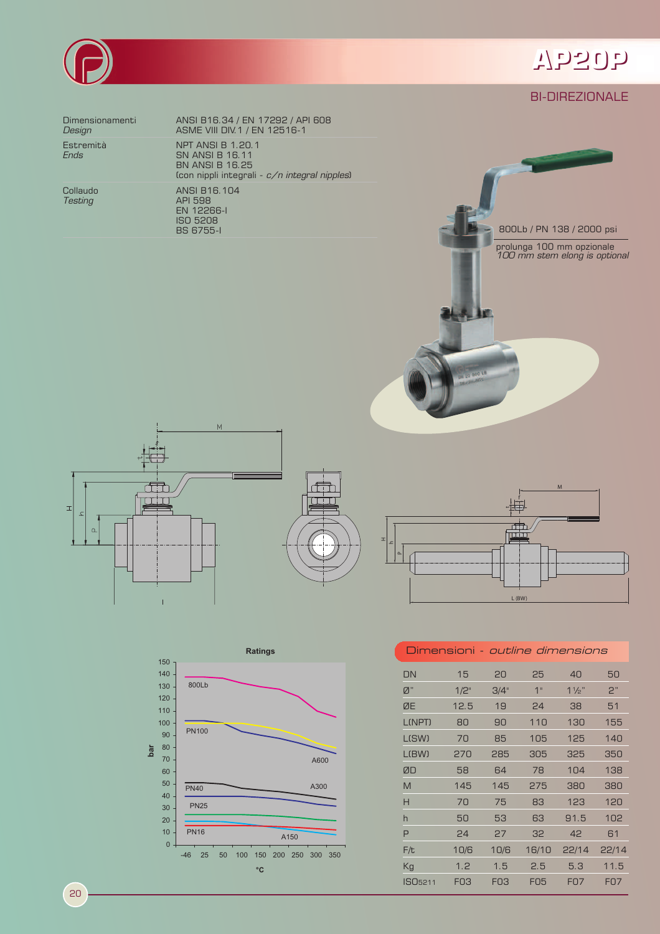

# WP20P

### **BI-DIREZIONALE**

800Lb / PN 138 / 2000 psi

prolunga 100 mm opzionale<br>100 mm stem elong is optional

Dimensionamenti Design

Estremità **Ends** 

Collaudo Testing

ANSI B16.34 / EN 17292 / API 608<br>ASME VIII DIV.1 / EN 12516-1 **NPT ANSI B 1.20.1** SN ANSI B 16.11<br>BN ANSI B 16.25 (con nippli integrali - c/n integral nipples) ANSI B16.104 ANGI BTO: 1<br>API 598<br>EN 12266-I<br>ISO 5208 **BS 6755-1** 







**MED 800 LB** 

#### Dimensioni - *outline dimensions*

| DN                  | 15              | 20              | 25              | 40                          | 50               |
|---------------------|-----------------|-----------------|-----------------|-----------------------------|------------------|
| Ø"                  | $1/2$ "         | 3/4"            | 1 <sup>II</sup> | $1\frac{1}{2}$              | 2"               |
| ØE                  | 12.5            | 19              | 24              | 38                          | 51               |
| <b>L(NPT)</b>       | 80              | 90              | 110             | 130                         | 155              |
| L(SW)               | 70              | 85              | 105             | 125                         | 140              |
| $ $ (BW)            | 270             | 285             | 305             | 325                         | 350              |
| ØD                  | 58              | 64              | 78              | 104                         | 138              |
| M                   | 145             | 145             | 275             | 380                         | 380              |
| Н                   | 70              | 75              | 83              | 123                         | 120              |
| h                   | 50              | 53              | 63              | 91.5                        | 102              |
| P                   | 24              | 27              | 32              | 42                          | 61               |
| F/t                 | 10/6            | 10/6            | 16/10           | 22/14                       | 22/14            |
| Kg                  | 1.2             | 1.5             | 2.5             | 5.3                         | 11.5             |
| ISO <sub>5211</sub> | FO <sub>3</sub> | FO <sub>3</sub> | <b>FO5</b>      | F <sub>O</sub> <sub>7</sub> | F <sub>0</sub> 7 |

|     |              | <b>Ratings</b>                                              |
|-----|--------------|-------------------------------------------------------------|
|     | 150          |                                                             |
|     | 140          |                                                             |
|     | 130          | 800Lb                                                       |
|     | 120          |                                                             |
|     | 110          |                                                             |
| bar | 100          |                                                             |
|     | 90           | <b>PN100</b>                                                |
|     | 80           |                                                             |
|     | 70           | A600                                                        |
|     | 60           |                                                             |
|     | 50           | A300<br><b>PN40</b>                                         |
|     | 40           |                                                             |
|     | 30           | <b>PN25</b>                                                 |
|     | 20           |                                                             |
|     | 10           | <b>PN16</b><br>A150                                         |
|     | $\mathbf{0}$ |                                                             |
|     |              | 100<br>150<br>200<br>250<br>300<br>$-46$<br>25<br>50<br>350 |
|     |              | °C                                                          |